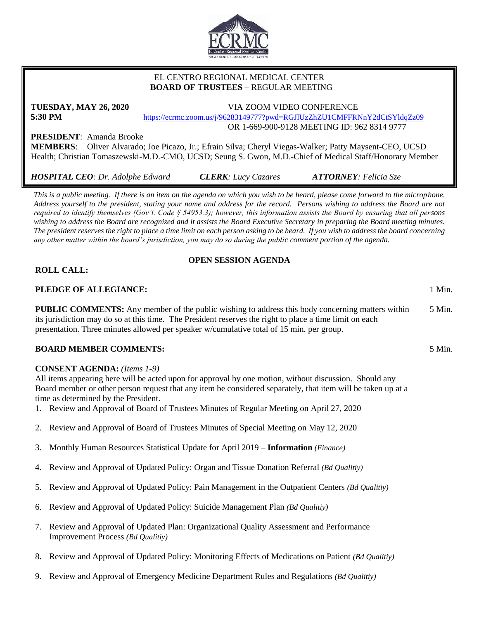

## EL CENTRO REGIONAL MEDICAL CENTER  **BOARD OF TRUSTEES** – REGULAR MEETING

# **TUESDAY, MAY 26, 2020** VIA ZOOM VIDEO CONFERENCE **5:30 PM** <https://ecrmc.zoom.us/j/96283149777?pwd=RGJlUzZhZU1CMFFRNnY2dCtSYldqZz09>

OR 1-669-900-9128 MEETING ID: 962 8314 9777

**PRESIDENT**: Amanda Brooke

**MEMBERS**: Oliver Alvarado; Joe Picazo, Jr.; Efrain Silva; Cheryl Viegas-Walker; Patty Maysent-CEO, UCSD Health; Christian Tomaszewski-M.D.-CMO, UCSD; Seung S. Gwon, M.D.-Chief of Medical Staff/Honorary Member

*HOSPITAL CEO: Dr. Adolphe Edward CLERK: Lucy Cazares ATTORNEY: Felicia Sze*

*This is a public meeting. If there is an item on the agenda on which you wish to be heard, please come forward to the microphone. Address yourself to the president, stating your name and address for the record. Persons wishing to address the Board are not required to identify themselves (Gov't. Code § 54953.3); however, this information assists the Board by ensuring that all persons wishing to address the Board are recognized and it assists the Board Executive Secretary in preparing the Board meeting minutes. The president reserves the right to place a time limit on each person asking to be heard. If you wish to address the board concerning any other matter within the board's jurisdiction, you may do so during the public comment portion of the agenda.*

# **OPEN SESSION AGENDA**

# **ROLL CALL:**

# **PLEDGE OF ALLEGIANCE:** 1 Min.

**PUBLIC COMMENTS:** Any member of the public wishing to address this body concerning matters within its jurisdiction may do so at this time. The President reserves the right to place a time limit on each presentation. Three minutes allowed per speaker w/cumulative total of 15 min. per group. 5 Min.

## **BOARD MEMBER COMMENTS:** 5 Min.

## **CONSENT AGENDA:** *(Items 1-9)*

All items appearing here will be acted upon for approval by one motion, without discussion. Should any Board member or other person request that any item be considered separately, that item will be taken up at a time as determined by the President.

- 1. Review and Approval of Board of Trustees Minutes of Regular Meeting on April 27, 2020
- 2. Review and Approval of Board of Trustees Minutes of Special Meeting on May 12, 2020
- 3. Monthly Human Resources Statistical Update for April 2019 **Information** *(Finance)*
- 4. Review and Approval of Updated Policy: Organ and Tissue Donation Referral *(Bd Qualitiy)*
- 5. Review and Approval of Updated Policy: Pain Management in the Outpatient Centers *(Bd Qualitiy)*
- 6. Review and Approval of Updated Policy: Suicide Management Plan *(Bd Qualitiy)*
- 7. Review and Approval of Updated Plan: Organizational Quality Assessment and Performance Improvement Process *(Bd Qualitiy)*
- 8. Review and Approval of Updated Policy: Monitoring Effects of Medications on Patient *(Bd Qualitiy)*
- 9. Review and Approval of Emergency Medicine Department Rules and Regulations *(Bd Qualitiy)*